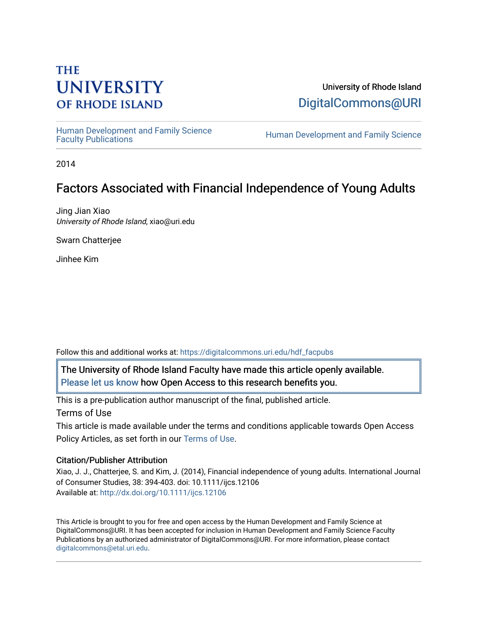# **THE UNIVERSITY OF RHODE ISLAND**

University of Rhode Island [DigitalCommons@URI](https://digitalcommons.uri.edu/) 

Human Development and Family Science<br>Faculty Publications

Human Development and Family Science

2014

# Factors Associated with Financial Independence of Young Adults

Jing Jian Xiao University of Rhode Island, xiao@uri.edu

Swarn Chatterjee

Jinhee Kim

Follow this and additional works at: [https://digitalcommons.uri.edu/hdf\\_facpubs](https://digitalcommons.uri.edu/hdf_facpubs?utm_source=digitalcommons.uri.edu%2Fhdf_facpubs%2F18&utm_medium=PDF&utm_campaign=PDFCoverPages) 

The University of Rhode Island Faculty have made this article openly available. [Please let us know](http://web.uri.edu/library-digital-initiatives/open-access-online-form/) how Open Access to this research benefits you.

This is a pre-publication author manuscript of the final, published article. Terms of Use

This article is made available under the terms and conditions applicable towards Open Access Policy Articles, as set forth in our [Terms of Use](https://digitalcommons.uri.edu/hdf_facpubs/oa_policy_terms.html).

# Citation/Publisher Attribution

Xiao, J. J., Chatterjee, S. and Kim, J. (2014), Financial independence of young adults. International Journal of Consumer Studies, 38: 394-403. doi: 10.1111/ijcs.12106 Available at:<http://dx.doi.org/10.1111/ijcs.12106>

This Article is brought to you for free and open access by the Human Development and Family Science at DigitalCommons@URI. It has been accepted for inclusion in Human Development and Family Science Faculty Publications by an authorized administrator of DigitalCommons@URI. For more information, please contact [digitalcommons@etal.uri.edu](mailto:digitalcommons@etal.uri.edu).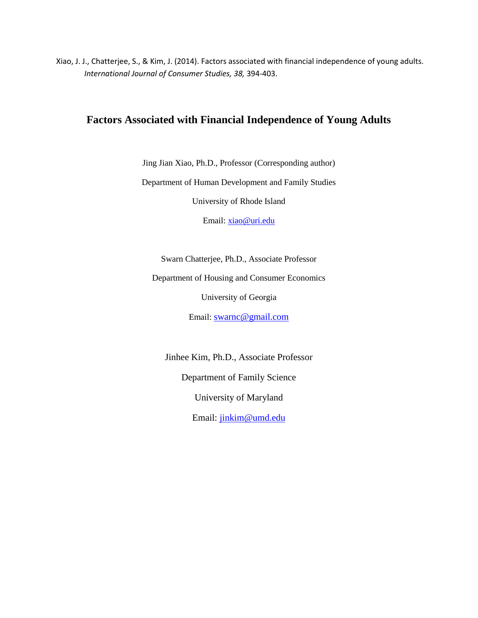Xiao, J. J., Chatterjee, S., & Kim, J. (2014). Factors associated with financial independence of young adults. *International Journal of Consumer Studies, 38,* 394-403.

# **Factors Associated with Financial Independence of Young Adults**

Jing Jian Xiao, Ph.D., Professor (Corresponding author)

Department of Human Development and Family Studies

University of Rhode Island

Email: [xiao@uri.edu](mailto:xiao@uri.edu)

Swarn Chatterjee, Ph.D., Associate Professor

Department of Housing and Consumer Economics

University of Georgia

Email: [swarnc@gmail.com](mailto:swarnc@gmail.com)

Jinhee Kim, Ph.D., Associate Professor Department of Family Science University of Maryland Email: [jinkim@umd.edu](mailto:jinkim@umd.edu)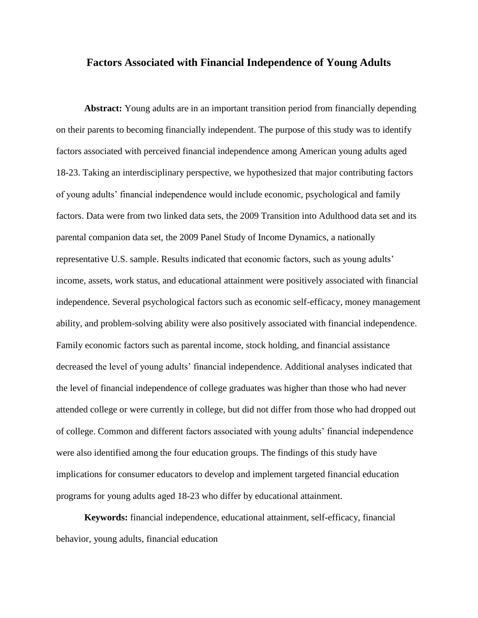# **Factors Associated with Financial Independence of Young Adults**

**Abstract:** Young adults are in an important transition period from financially depending on their parents to becoming financially independent. The purpose of this study was to identify factors associated with perceived financial independence among American young adults aged 18-23. Taking an interdisciplinary perspective, we hypothesized that major contributing factors of young adults' financial independence would include economic, psychological and family factors. Data were from two linked data sets, the 2009 Transition into Adulthood data set and its parental companion data set, the 2009 Panel Study of Income Dynamics, a nationally representative U.S. sample. Results indicated that economic factors, such as young adults' income, assets, work status, and educational attainment were positively associated with financial independence. Several psychological factors such as economic self-efficacy, money management ability, and problem-solving ability were also positively associated with financial independence. Family economic factors such as parental income, stock holding, and financial assistance decreased the level of young adults' financial independence. Additional analyses indicated that the level of financial independence of college graduates was higher than those who had never attended college or were currently in college, but did not differ from those who had dropped out of college. Common and different factors associated with young adults' financial independence were also identified among the four education groups. The findings of this study have implications for consumer educators to develop and implement targeted financial education programs for young adults aged 18-23 who differ by educational attainment.

**Keywords:** financial independence, educational attainment, self-efficacy, financial behavior, young adults, financial education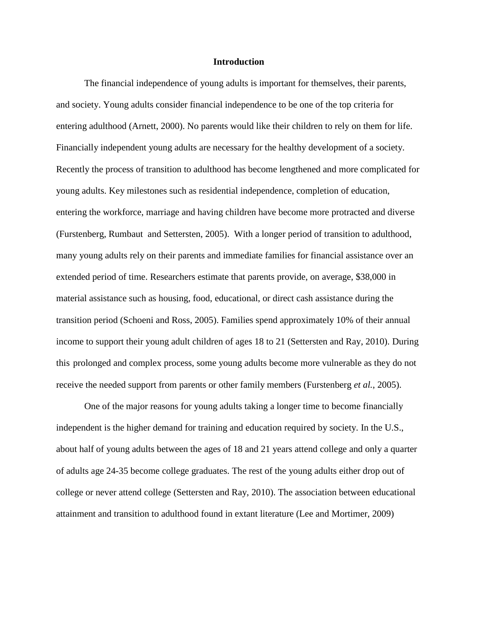#### **Introduction**

The financial independence of young adults is important for themselves, their parents, and society. Young adults consider financial independence to be one of the top criteria for entering adulthood (Arnett, 2000). No parents would like their children to rely on them for life. Financially independent young adults are necessary for the healthy development of a society. Recently the process of transition to adulthood has become lengthened and more complicated for young adults. Key milestones such as residential independence, completion of education, entering the workforce, marriage and having children have become more protracted and diverse (Furstenberg, Rumbaut and Settersten, 2005). With a longer period of transition to adulthood, many young adults rely on their parents and immediate families for financial assistance over an extended period of time. Researchers estimate that parents provide, on average, \$38,000 in material assistance such as housing, food, educational, or direct cash assistance during the transition period (Schoeni and Ross, 2005). Families spend approximately 10% of their annual income to support their young adult children of ages 18 to 21 (Settersten and Ray, 2010). During this prolonged and complex process, some young adults become more vulnerable as they do not receive the needed support from parents or other family members (Furstenberg *et al.*, 2005).

One of the major reasons for young adults taking a longer time to become financially independent is the higher demand for training and education required by society. In the U.S., about half of young adults between the ages of 18 and 21 years attend college and only a quarter of adults age 24-35 become college graduates. The rest of the young adults either drop out of college or never attend college (Settersten and Ray, 2010). The association between educational attainment and transition to adulthood found in extant literature (Lee and Mortimer, 2009)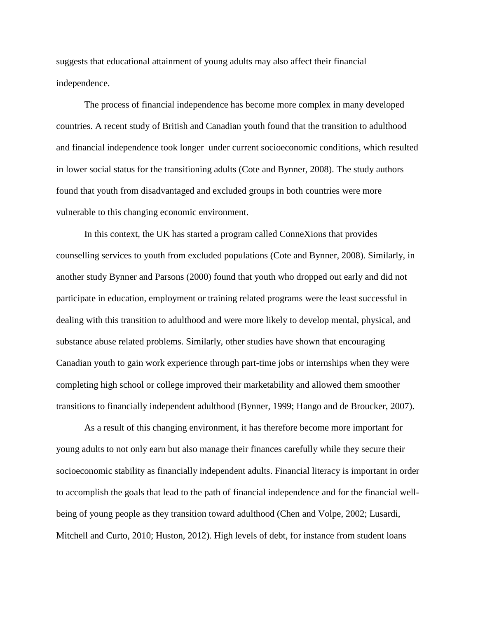suggests that educational attainment of young adults may also affect their financial independence.

The process of financial independence has become more complex in many developed countries. A recent study of British and Canadian youth found that the transition to adulthood and financial independence took longer under current socioeconomic conditions, which resulted in lower social status for the transitioning adults (Cote and Bynner, 2008). The study authors found that youth from disadvantaged and excluded groups in both countries were more vulnerable to this changing economic environment.

In this context, the UK has started a program called ConneXions that provides counselling services to youth from excluded populations (Cote and Bynner, 2008). Similarly, in another study Bynner and Parsons (2000) found that youth who dropped out early and did not participate in education, employment or training related programs were the least successful in dealing with this transition to adulthood and were more likely to develop mental, physical, and substance abuse related problems. Similarly, other studies have shown that encouraging Canadian youth to gain work experience through part-time jobs or internships when they were completing high school or college improved their marketability and allowed them smoother transitions to financially independent adulthood (Bynner, 1999; Hango and de Broucker, 2007).

As a result of this changing environment, it has therefore become more important for young adults to not only earn but also manage their finances carefully while they secure their socioeconomic stability as financially independent adults. Financial literacy is important in order to accomplish the goals that lead to the path of financial independence and for the financial wellbeing of young people as they transition toward adulthood (Chen and Volpe, 2002; Lusardi, Mitchell and Curto, 2010; Huston, 2012). High levels of debt, for instance from student loans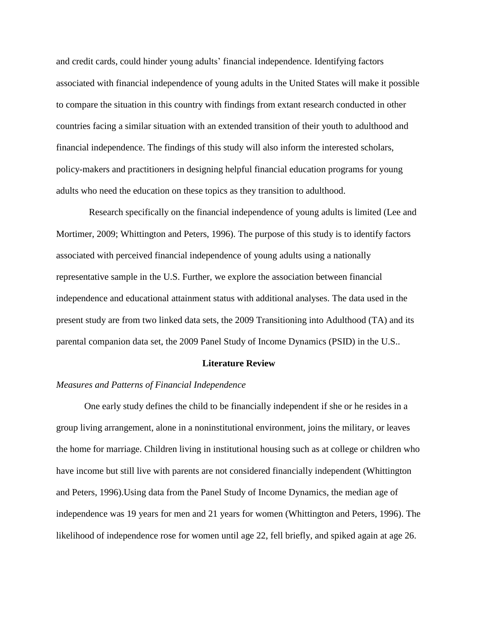and credit cards, could hinder young adults' financial independence. Identifying factors associated with financial independence of young adults in the United States will make it possible to compare the situation in this country with findings from extant research conducted in other countries facing a similar situation with an extended transition of their youth to adulthood and financial independence. The findings of this study will also inform the interested scholars, policy-makers and practitioners in designing helpful financial education programs for young adults who need the education on these topics as they transition to adulthood.

 Research specifically on the financial independence of young adults is limited (Lee and Mortimer, 2009; Whittington and Peters, 1996). The purpose of this study is to identify factors associated with perceived financial independence of young adults using a nationally representative sample in the U.S. Further, we explore the association between financial independence and educational attainment status with additional analyses. The data used in the present study are from two linked data sets, the 2009 Transitioning into Adulthood (TA) and its parental companion data set, the 2009 Panel Study of Income Dynamics (PSID) in the U.S..

# **Literature Review**

# *Measures and Patterns of Financial Independence*

One early study defines the child to be financially independent if she or he resides in a group living arrangement, alone in a noninstitutional environment, joins the military, or leaves the home for marriage. Children living in institutional housing such as at college or children who have income but still live with parents are not considered financially independent (Whittington and Peters, 1996).Using data from the Panel Study of Income Dynamics, the median age of independence was 19 years for men and 21 years for women (Whittington and Peters, 1996). The likelihood of independence rose for women until age 22, fell briefly, and spiked again at age 26.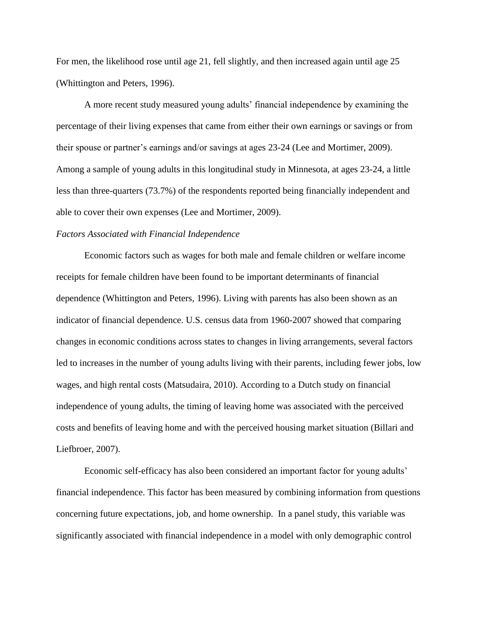For men, the likelihood rose until age 21, fell slightly, and then increased again until age 25 (Whittington and Peters, 1996).

A more recent study measured young adults' financial independence by examining the percentage of their living expenses that came from either their own earnings or savings or from their spouse or partner's earnings and/or savings at ages 23-24 (Lee and Mortimer, 2009). Among a sample of young adults in this longitudinal study in Minnesota, at ages 23-24, a little less than three-quarters (73.7%) of the respondents reported being financially independent and able to cover their own expenses (Lee and Mortimer, 2009).

# *Factors Associated with Financial Independence*

Economic factors such as wages for both male and female children or welfare income receipts for female children have been found to be important determinants of financial dependence (Whittington and Peters, 1996). Living with parents has also been shown as an indicator of financial dependence. U.S. census data from 1960-2007 showed that comparing changes in economic conditions across states to changes in living arrangements, several factors led to increases in the number of young adults living with their parents, including fewer jobs, low wages, and high rental costs (Matsudaira, 2010). According to a Dutch study on financial independence of young adults, the timing of leaving home was associated with the perceived costs and benefits of leaving home and with the perceived housing market situation (Billari and Liefbroer, 2007).

Economic self-efficacy has also been considered an important factor for young adults' financial independence. This factor has been measured by combining information from questions concerning future expectations, job, and home ownership. In a panel study, this variable was significantly associated with financial independence in a model with only demographic control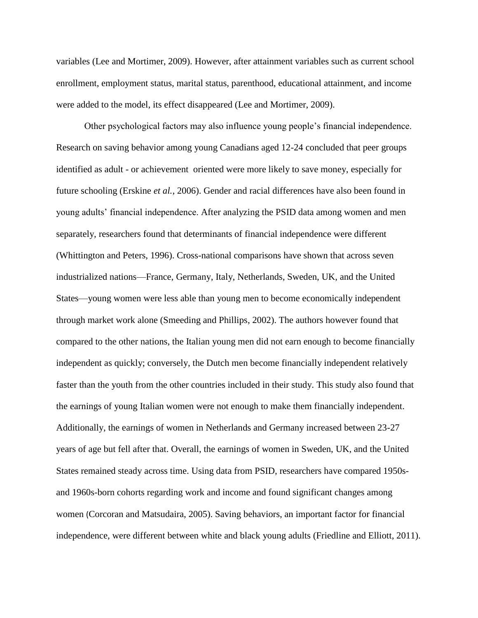variables (Lee and Mortimer, 2009). However, after attainment variables such as current school enrollment, employment status, marital status, parenthood, educational attainment, and income were added to the model, its effect disappeared (Lee and Mortimer, 2009).

Other psychological factors may also influence young people's financial independence. Research on saving behavior among young Canadians aged 12-24 concluded that peer groups identified as adult - or achievement oriented were more likely to save money, especially for future schooling (Erskine *et al.*, 2006). Gender and racial differences have also been found in young adults' financial independence. After analyzing the PSID data among women and men separately, researchers found that determinants of financial independence were different (Whittington and Peters, 1996). Cross-national comparisons have shown that across seven industrialized nations—France, Germany, Italy, Netherlands, Sweden, UK, and the United States—young women were less able than young men to become economically independent through market work alone (Smeeding and Phillips, 2002). The authors however found that compared to the other nations, the Italian young men did not earn enough to become financially independent as quickly; conversely, the Dutch men become financially independent relatively faster than the youth from the other countries included in their study. This study also found that the earnings of young Italian women were not enough to make them financially independent. Additionally, the earnings of women in Netherlands and Germany increased between 23-27 years of age but fell after that. Overall, the earnings of women in Sweden, UK, and the United States remained steady across time. Using data from PSID, researchers have compared 1950sand 1960s-born cohorts regarding work and income and found significant changes among women (Corcoran and Matsudaira, 2005). Saving behaviors, an important factor for financial independence, were different between white and black young adults (Friedline and Elliott, 2011).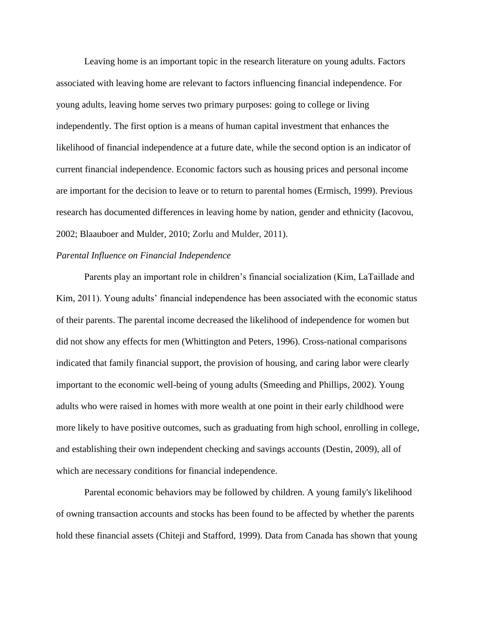Leaving home is an important topic in the research literature on young adults. Factors associated with leaving home are relevant to factors influencing financial independence. For young adults, leaving home serves two primary purposes: going to college or living independently. The first option is a means of human capital investment that enhances the likelihood of financial independence at a future date, while the second option is an indicator of current financial independence. Economic factors such as housing prices and personal income are important for the decision to leave or to return to parental homes (Ermisch, 1999). Previous research has documented differences in leaving home by nation, gender and ethnicity (Iacovou, 2002; Blaauboer and Mulder, 2010; Zorlu and Mulder, 2011).

# *Parental Influence on Financial Independence*

Parents play an important role in children's financial socialization (Kim, LaTaillade and Kim, 2011). Young adults' financial independence has been associated with the economic status of their parents. The parental income decreased the likelihood of independence for women but did not show any effects for men (Whittington and Peters, 1996). Cross-national comparisons indicated that family financial support, the provision of housing, and caring labor were clearly important to the economic well-being of young adults (Smeeding and Phillips, 2002). Young adults who were raised in homes with more wealth at one point in their early childhood were more likely to have positive outcomes, such as graduating from high school, enrolling in college, and establishing their own independent checking and savings accounts (Destin, 2009), all of which are necessary conditions for financial independence.

Parental economic behaviors may be followed by children. A young family's likelihood of owning transaction accounts and stocks has been found to be affected by whether the parents hold these financial assets (Chiteji and Stafford, 1999). Data from Canada has shown that young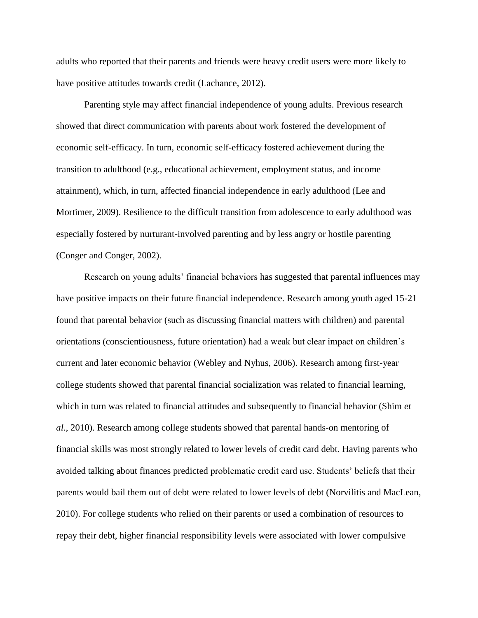adults who reported that their parents and friends were heavy credit users were more likely to have positive attitudes towards credit (Lachance, 2012).

Parenting style may affect financial independence of young adults. Previous research showed that direct communication with parents about work fostered the development of economic self-efficacy. In turn, economic self-efficacy fostered achievement during the transition to adulthood (e.g., educational achievement, employment status, and income attainment), which, in turn, affected financial independence in early adulthood (Lee and Mortimer, 2009). Resilience to the difficult transition from adolescence to early adulthood was especially fostered by nurturant-involved parenting and by less angry or hostile parenting (Conger and Conger, 2002).

Research on young adults' financial behaviors has suggested that parental influences may have positive impacts on their future financial independence. Research among youth aged 15-21 found that parental behavior (such as discussing financial matters with children) and parental orientations (conscientiousness, future orientation) had a weak but clear impact on children's current and later economic behavior (Webley and Nyhus, 2006). Research among first-year college students showed that parental financial socialization was related to financial learning, which in turn was related to financial attitudes and subsequently to financial behavior (Shim *et al.*, 2010). Research among college students showed that parental hands-on mentoring of financial skills was most strongly related to lower levels of credit card debt. Having parents who avoided talking about finances predicted problematic credit card use. Students' beliefs that their parents would bail them out of debt were related to lower levels of debt (Norvilitis and MacLean, 2010). For college students who relied on their parents or used a combination of resources to repay their debt, higher financial responsibility levels were associated with lower compulsive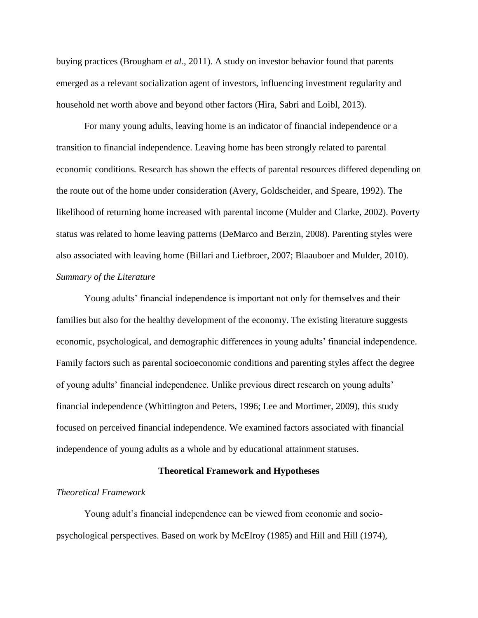buying practices (Brougham *et al*., 2011). A study on investor behavior found that parents emerged as a relevant socialization agent of investors, influencing investment regularity and household net worth above and beyond other factors (Hira, Sabri and Loibl, 2013).

For many young adults, leaving home is an indicator of financial independence or a transition to financial independence. Leaving home has been strongly related to parental economic conditions. Research has shown the effects of parental resources differed depending on the route out of the home under consideration (Avery, Goldscheider, and Speare, 1992). The likelihood of returning home increased with parental income (Mulder and Clarke, 2002). Poverty status was related to home leaving patterns (DeMarco and Berzin, 2008). Parenting styles were also associated with leaving home (Billari and Liefbroer, 2007; Blaauboer and Mulder, 2010). *Summary of the Literature*

Young adults' financial independence is important not only for themselves and their families but also for the healthy development of the economy. The existing literature suggests economic, psychological, and demographic differences in young adults' financial independence. Family factors such as parental socioeconomic conditions and parenting styles affect the degree of young adults' financial independence. Unlike previous direct research on young adults' financial independence (Whittington and Peters, 1996; Lee and Mortimer, 2009), this study focused on perceived financial independence. We examined factors associated with financial independence of young adults as a whole and by educational attainment statuses.

# **Theoretical Framework and Hypotheses**

# *Theoretical Framework*

Young adult's financial independence can be viewed from economic and sociopsychological perspectives. Based on work by McElroy (1985) and Hill and Hill (1974),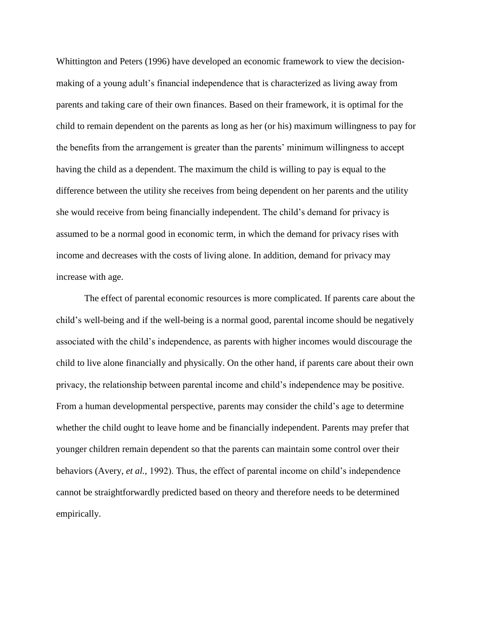Whittington and Peters (1996) have developed an economic framework to view the decisionmaking of a young adult's financial independence that is characterized as living away from parents and taking care of their own finances. Based on their framework, it is optimal for the child to remain dependent on the parents as long as her (or his) maximum willingness to pay for the benefits from the arrangement is greater than the parents' minimum willingness to accept having the child as a dependent. The maximum the child is willing to pay is equal to the difference between the utility she receives from being dependent on her parents and the utility she would receive from being financially independent. The child's demand for privacy is assumed to be a normal good in economic term, in which the demand for privacy rises with income and decreases with the costs of living alone. In addition, demand for privacy may increase with age.

The effect of parental economic resources is more complicated. If parents care about the child's well-being and if the well-being is a normal good, parental income should be negatively associated with the child's independence, as parents with higher incomes would discourage the child to live alone financially and physically. On the other hand, if parents care about their own privacy, the relationship between parental income and child's independence may be positive. From a human developmental perspective, parents may consider the child's age to determine whether the child ought to leave home and be financially independent. Parents may prefer that younger children remain dependent so that the parents can maintain some control over their behaviors (Avery, *et al.*, 1992). Thus, the effect of parental income on child's independence cannot be straightforwardly predicted based on theory and therefore needs to be determined empirically.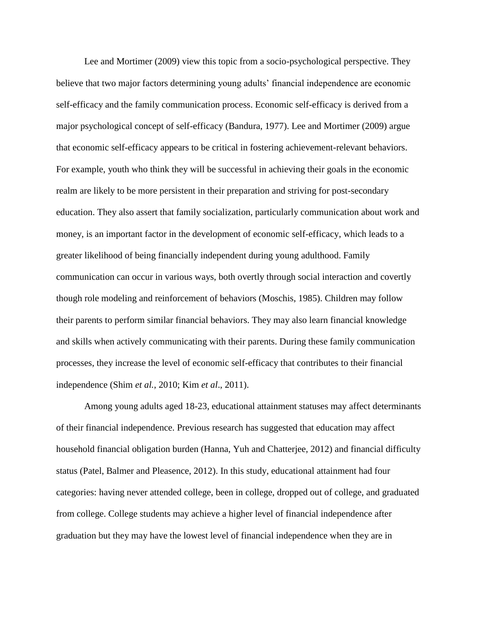Lee and Mortimer (2009) view this topic from a socio-psychological perspective. They believe that two major factors determining young adults' financial independence are economic self-efficacy and the family communication process. Economic self-efficacy is derived from a major psychological concept of self-efficacy (Bandura, 1977). Lee and Mortimer (2009) argue that economic self-efficacy appears to be critical in fostering achievement-relevant behaviors. For example, youth who think they will be successful in achieving their goals in the economic realm are likely to be more persistent in their preparation and striving for post-secondary education. They also assert that family socialization, particularly communication about work and money, is an important factor in the development of economic self-efficacy, which leads to a greater likelihood of being financially independent during young adulthood. Family communication can occur in various ways, both overtly through social interaction and covertly though role modeling and reinforcement of behaviors (Moschis, 1985). Children may follow their parents to perform similar financial behaviors. They may also learn financial knowledge and skills when actively communicating with their parents. During these family communication processes, they increase the level of economic self-efficacy that contributes to their financial independence (Shim *et al.*, 2010; Kim *et al*., 2011).

Among young adults aged 18-23, educational attainment statuses may affect determinants of their financial independence. Previous research has suggested that education may affect household financial obligation burden (Hanna, Yuh and Chatterjee, 2012) and financial difficulty status (Patel, Balmer and Pleasence, 2012). In this study, educational attainment had four categories: having never attended college, been in college, dropped out of college, and graduated from college. College students may achieve a higher level of financial independence after graduation but they may have the lowest level of financial independence when they are in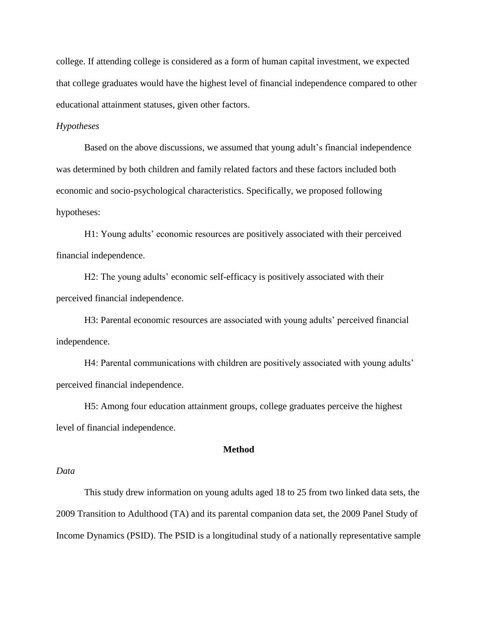college. If attending college is considered as a form of human capital investment, we expected that college graduates would have the highest level of financial independence compared to other educational attainment statuses, given other factors.

# *Hypotheses*

Based on the above discussions, we assumed that young adult's financial independence was determined by both children and family related factors and these factors included both economic and socio-psychological characteristics. Specifically, we proposed following hypotheses:

H1: Young adults' economic resources are positively associated with their perceived financial independence.

H2: The young adults' economic self-efficacy is positively associated with their perceived financial independence.

H3: Parental economic resources are associated with young adults' perceived financial independence.

H4: Parental communications with children are positively associated with young adults' perceived financial independence.

H5: Among four education attainment groups, college graduates perceive the highest level of financial independence.

# **Method**

#### *Data*

This study drew information on young adults aged 18 to 25 from two linked data sets, the 2009 Transition to Adulthood (TA) and its parental companion data set, the 2009 Panel Study of Income Dynamics (PSID). The PSID is a longitudinal study of a nationally representative sample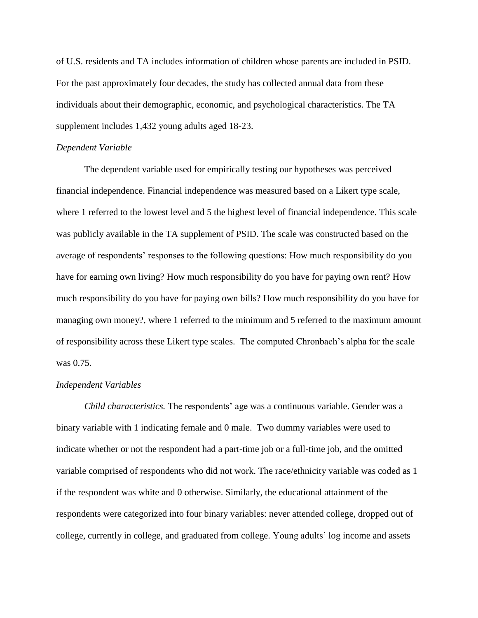of U.S. residents and TA includes information of children whose parents are included in PSID. For the past approximately four decades, the study has collected annual data from these individuals about their demographic, economic, and psychological characteristics. The TA supplement includes 1,432 young adults aged 18-23.

# *Dependent Variable*

The dependent variable used for empirically testing our hypotheses was perceived financial independence. Financial independence was measured based on a Likert type scale, where 1 referred to the lowest level and 5 the highest level of financial independence. This scale was publicly available in the TA supplement of PSID. The scale was constructed based on the average of respondents' responses to the following questions: How much responsibility do you have for earning own living? How much responsibility do you have for paying own rent? How much responsibility do you have for paying own bills? How much responsibility do you have for managing own money?, where 1 referred to the minimum and 5 referred to the maximum amount of responsibility across these Likert type scales. The computed Chronbach's alpha for the scale was 0.75.

# *Independent Variables*

*Child characteristics.* The respondents' age was a continuous variable. Gender was a binary variable with 1 indicating female and 0 male. Two dummy variables were used to indicate whether or not the respondent had a part-time job or a full-time job, and the omitted variable comprised of respondents who did not work. The race/ethnicity variable was coded as 1 if the respondent was white and 0 otherwise. Similarly, the educational attainment of the respondents were categorized into four binary variables: never attended college, dropped out of college, currently in college, and graduated from college. Young adults' log income and assets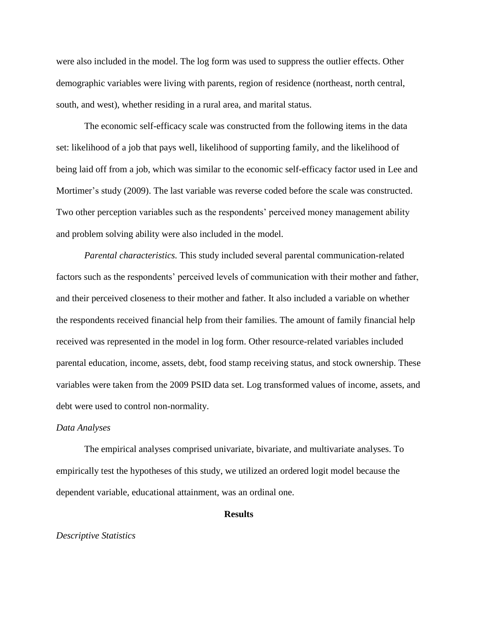were also included in the model. The log form was used to suppress the outlier effects. Other demographic variables were living with parents, region of residence (northeast, north central, south, and west), whether residing in a rural area, and marital status.

The economic self-efficacy scale was constructed from the following items in the data set: likelihood of a job that pays well, likelihood of supporting family, and the likelihood of being laid off from a job, which was similar to the economic self-efficacy factor used in Lee and Mortimer's study (2009). The last variable was reverse coded before the scale was constructed. Two other perception variables such as the respondents' perceived money management ability and problem solving ability were also included in the model.

*Parental characteristics.* This study included several parental communication-related factors such as the respondents' perceived levels of communication with their mother and father, and their perceived closeness to their mother and father. It also included a variable on whether the respondents received financial help from their families. The amount of family financial help received was represented in the model in log form. Other resource-related variables included parental education, income, assets, debt, food stamp receiving status, and stock ownership. These variables were taken from the 2009 PSID data set. Log transformed values of income, assets, and debt were used to control non-normality.

#### *Data Analyses*

The empirical analyses comprised univariate, bivariate, and multivariate analyses. To empirically test the hypotheses of this study, we utilized an ordered logit model because the dependent variable, educational attainment, was an ordinal one.

### **Results**

#### *Descriptive Statistics*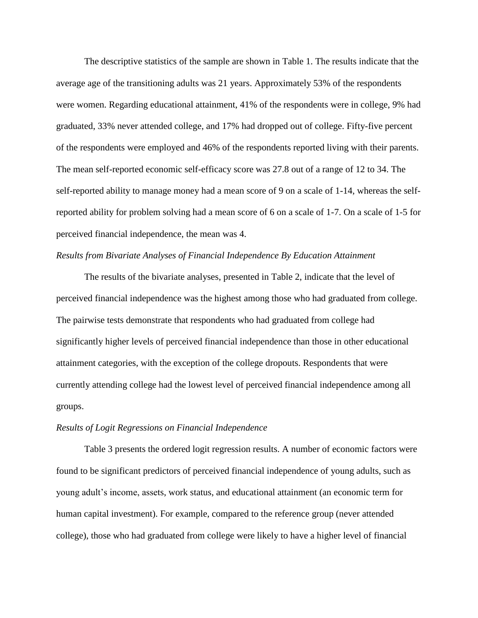The descriptive statistics of the sample are shown in Table 1. The results indicate that the average age of the transitioning adults was 21 years. Approximately 53% of the respondents were women. Regarding educational attainment, 41% of the respondents were in college, 9% had graduated, 33% never attended college, and 17% had dropped out of college. Fifty-five percent of the respondents were employed and 46% of the respondents reported living with their parents. The mean self-reported economic self-efficacy score was 27.8 out of a range of 12 to 34. The self-reported ability to manage money had a mean score of 9 on a scale of 1-14, whereas the selfreported ability for problem solving had a mean score of 6 on a scale of 1-7. On a scale of 1-5 for perceived financial independence, the mean was 4.

# *Results from Bivariate Analyses of Financial Independence By Education Attainment*

The results of the bivariate analyses, presented in Table 2, indicate that the level of perceived financial independence was the highest among those who had graduated from college. The pairwise tests demonstrate that respondents who had graduated from college had significantly higher levels of perceived financial independence than those in other educational attainment categories, with the exception of the college dropouts. Respondents that were currently attending college had the lowest level of perceived financial independence among all groups.

#### *Results of Logit Regressions on Financial Independence*

Table 3 presents the ordered logit regression results. A number of economic factors were found to be significant predictors of perceived financial independence of young adults, such as young adult's income, assets, work status, and educational attainment (an economic term for human capital investment). For example, compared to the reference group (never attended college), those who had graduated from college were likely to have a higher level of financial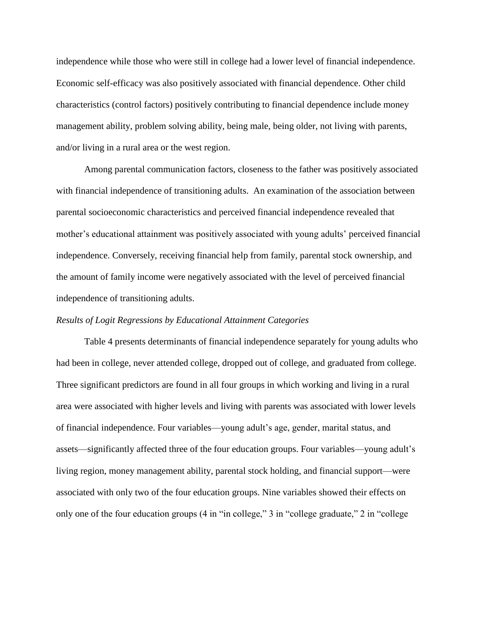independence while those who were still in college had a lower level of financial independence. Economic self-efficacy was also positively associated with financial dependence. Other child characteristics (control factors) positively contributing to financial dependence include money management ability, problem solving ability, being male, being older, not living with parents, and/or living in a rural area or the west region.

Among parental communication factors, closeness to the father was positively associated with financial independence of transitioning adults. An examination of the association between parental socioeconomic characteristics and perceived financial independence revealed that mother's educational attainment was positively associated with young adults' perceived financial independence. Conversely, receiving financial help from family, parental stock ownership, and the amount of family income were negatively associated with the level of perceived financial independence of transitioning adults.

# *Results of Logit Regressions by Educational Attainment Categories*

Table 4 presents determinants of financial independence separately for young adults who had been in college, never attended college, dropped out of college, and graduated from college. Three significant predictors are found in all four groups in which working and living in a rural area were associated with higher levels and living with parents was associated with lower levels of financial independence. Four variables—young adult's age, gender, marital status, and assets—significantly affected three of the four education groups. Four variables—young adult's living region, money management ability, parental stock holding, and financial support—were associated with only two of the four education groups. Nine variables showed their effects on only one of the four education groups (4 in "in college," 3 in "college graduate," 2 in "college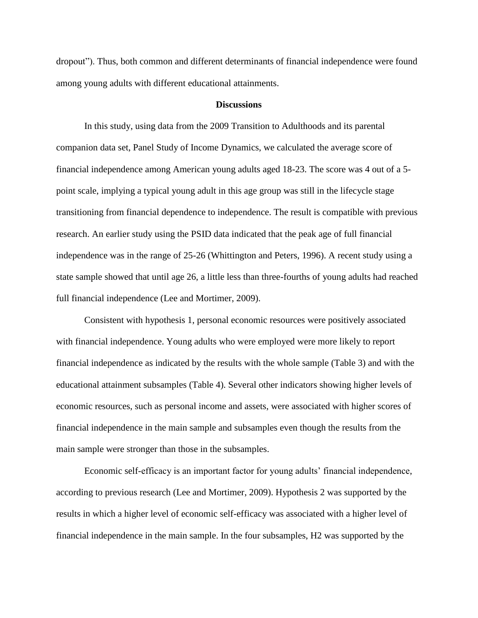dropout"). Thus, both common and different determinants of financial independence were found among young adults with different educational attainments.

#### **Discussions**

In this study, using data from the 2009 Transition to Adulthoods and its parental companion data set, Panel Study of Income Dynamics, we calculated the average score of financial independence among American young adults aged 18-23. The score was 4 out of a 5 point scale, implying a typical young adult in this age group was still in the lifecycle stage transitioning from financial dependence to independence. The result is compatible with previous research. An earlier study using the PSID data indicated that the peak age of full financial independence was in the range of 25-26 (Whittington and Peters, 1996). A recent study using a state sample showed that until age 26, a little less than three-fourths of young adults had reached full financial independence (Lee and Mortimer, 2009).

Consistent with hypothesis 1, personal economic resources were positively associated with financial independence. Young adults who were employed were more likely to report financial independence as indicated by the results with the whole sample (Table 3) and with the educational attainment subsamples (Table 4). Several other indicators showing higher levels of economic resources, such as personal income and assets, were associated with higher scores of financial independence in the main sample and subsamples even though the results from the main sample were stronger than those in the subsamples.

Economic self-efficacy is an important factor for young adults' financial independence, according to previous research (Lee and Mortimer, 2009). Hypothesis 2 was supported by the results in which a higher level of economic self-efficacy was associated with a higher level of financial independence in the main sample. In the four subsamples, H2 was supported by the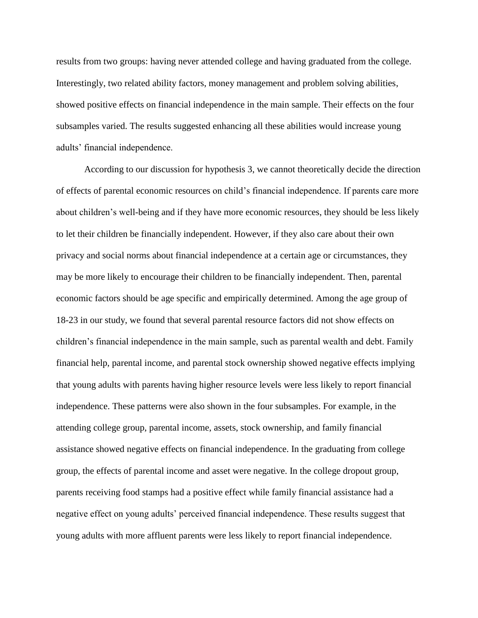results from two groups: having never attended college and having graduated from the college. Interestingly, two related ability factors, money management and problem solving abilities, showed positive effects on financial independence in the main sample. Their effects on the four subsamples varied. The results suggested enhancing all these abilities would increase young adults' financial independence.

According to our discussion for hypothesis 3, we cannot theoretically decide the direction of effects of parental economic resources on child's financial independence. If parents care more about children's well-being and if they have more economic resources, they should be less likely to let their children be financially independent. However, if they also care about their own privacy and social norms about financial independence at a certain age or circumstances, they may be more likely to encourage their children to be financially independent. Then, parental economic factors should be age specific and empirically determined. Among the age group of 18-23 in our study, we found that several parental resource factors did not show effects on children's financial independence in the main sample, such as parental wealth and debt. Family financial help, parental income, and parental stock ownership showed negative effects implying that young adults with parents having higher resource levels were less likely to report financial independence. These patterns were also shown in the four subsamples. For example, in the attending college group, parental income, assets, stock ownership, and family financial assistance showed negative effects on financial independence. In the graduating from college group, the effects of parental income and asset were negative. In the college dropout group, parents receiving food stamps had a positive effect while family financial assistance had a negative effect on young adults' perceived financial independence. These results suggest that young adults with more affluent parents were less likely to report financial independence.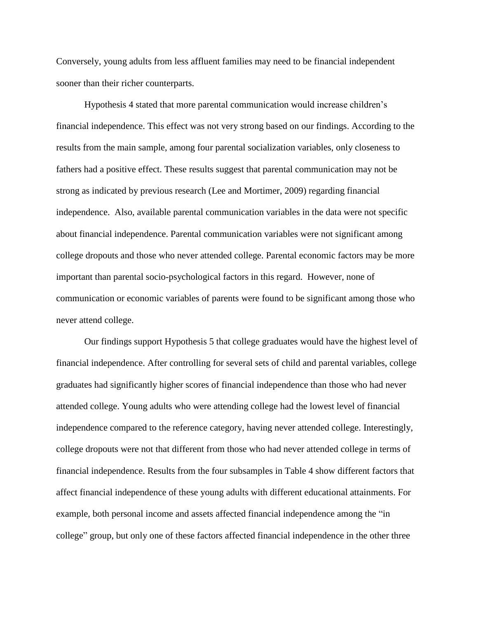Conversely, young adults from less affluent families may need to be financial independent sooner than their richer counterparts.

Hypothesis 4 stated that more parental communication would increase children's financial independence. This effect was not very strong based on our findings. According to the results from the main sample, among four parental socialization variables, only closeness to fathers had a positive effect. These results suggest that parental communication may not be strong as indicated by previous research (Lee and Mortimer, 2009) regarding financial independence. Also, available parental communication variables in the data were not specific about financial independence. Parental communication variables were not significant among college dropouts and those who never attended college. Parental economic factors may be more important than parental socio-psychological factors in this regard. However, none of communication or economic variables of parents were found to be significant among those who never attend college.

Our findings support Hypothesis 5 that college graduates would have the highest level of financial independence. After controlling for several sets of child and parental variables, college graduates had significantly higher scores of financial independence than those who had never attended college. Young adults who were attending college had the lowest level of financial independence compared to the reference category, having never attended college. Interestingly, college dropouts were not that different from those who had never attended college in terms of financial independence. Results from the four subsamples in Table 4 show different factors that affect financial independence of these young adults with different educational attainments. For example, both personal income and assets affected financial independence among the "in college" group, but only one of these factors affected financial independence in the other three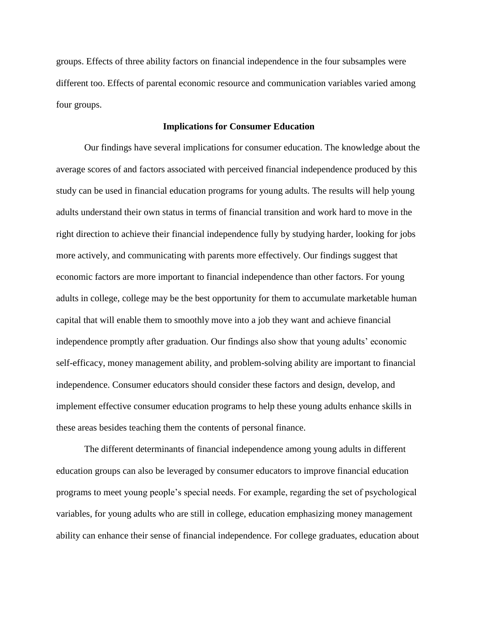groups. Effects of three ability factors on financial independence in the four subsamples were different too. Effects of parental economic resource and communication variables varied among four groups.

# **Implications for Consumer Education**

Our findings have several implications for consumer education. The knowledge about the average scores of and factors associated with perceived financial independence produced by this study can be used in financial education programs for young adults. The results will help young adults understand their own status in terms of financial transition and work hard to move in the right direction to achieve their financial independence fully by studying harder, looking for jobs more actively, and communicating with parents more effectively. Our findings suggest that economic factors are more important to financial independence than other factors. For young adults in college, college may be the best opportunity for them to accumulate marketable human capital that will enable them to smoothly move into a job they want and achieve financial independence promptly after graduation. Our findings also show that young adults' economic self-efficacy, money management ability, and problem-solving ability are important to financial independence. Consumer educators should consider these factors and design, develop, and implement effective consumer education programs to help these young adults enhance skills in these areas besides teaching them the contents of personal finance.

The different determinants of financial independence among young adults in different education groups can also be leveraged by consumer educators to improve financial education programs to meet young people's special needs. For example, regarding the set of psychological variables, for young adults who are still in college, education emphasizing money management ability can enhance their sense of financial independence. For college graduates, education about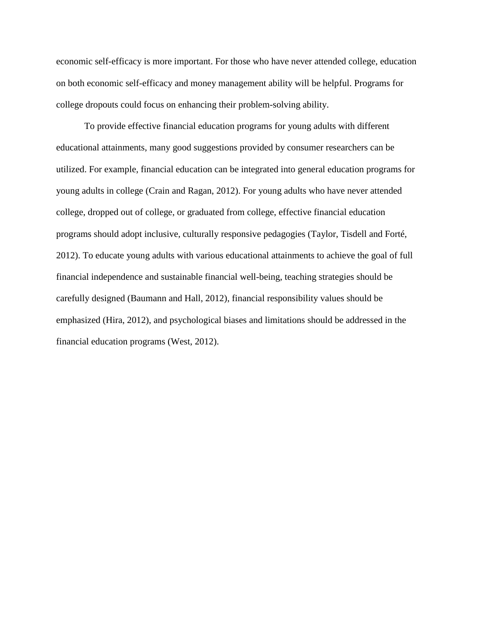economic self-efficacy is more important. For those who have never attended college, education on both economic self-efficacy and money management ability will be helpful. Programs for college dropouts could focus on enhancing their problem-solving ability.

To provide effective financial education programs for young adults with different educational attainments, many good suggestions provided by consumer researchers can be utilized. For example, financial education can be integrated into general education programs for young adults in college (Crain and Ragan, 2012). For young adults who have never attended college, dropped out of college, or graduated from college, effective financial education programs should adopt inclusive, culturally responsive pedagogies (Taylor, Tisdell and Forté, 2012). To educate young adults with various educational attainments to achieve the goal of full financial independence and sustainable financial well-being, teaching strategies should be carefully designed (Baumann and Hall, 2012), financial responsibility values should be emphasized (Hira, 2012), and psychological biases and limitations should be addressed in the financial education programs (West, 2012).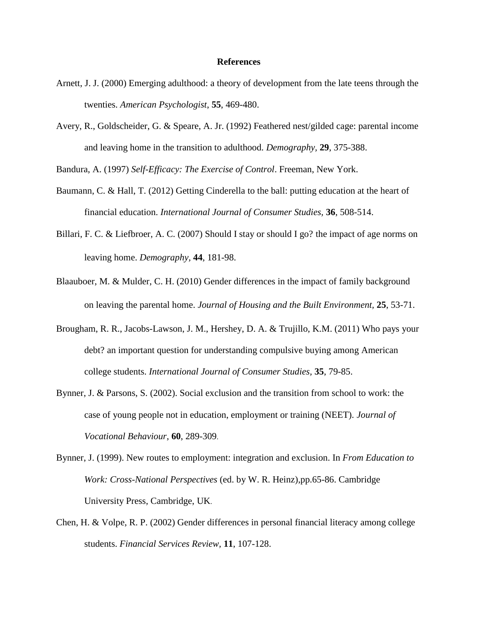#### **References**

- Arnett, J. J. (2000) Emerging adulthood: a theory of development from the late teens through the twenties. *American Psychologist*, **55**, 469-480.
- Avery, R., Goldscheider, G. & Speare, A. Jr. (1992) Feathered nest/gilded cage: parental income and leaving home in the transition to adulthood. *Demography,* **29**, 375-388.

Bandura, A. (1997) *Self-Efficacy: The Exercise of Control*. Freeman, New York.

- Baumann, C. & Hall, T. (2012) Getting Cinderella to the ball: putting education at the heart of financial education. *International Journal of Consumer Studies,* **36**, 508-514.
- Billari, F. C. & Liefbroer, A. C. (2007) Should I stay or should I go? the impact of age norms on leaving home. *Demography,* **44**, 181-98.
- Blaauboer, M. & Mulder, C. H. (2010) Gender differences in the impact of family background on leaving the parental home. *Journal of Housing and the Built Environment,* **25**, 53-71.
- Brougham, R. R., Jacobs-Lawson, J. M., Hershey, D. A. & Trujillo, K.M. (2011) Who pays your debt? an important question for understanding compulsive buying among American college students. *International Journal of Consumer Studies,* **35**, 79-85.
- Bynner, J. & Parsons, S. (2002). Social exclusion and the transition from school to work: the case of young people not in education, employment or training (NEET). *Journal of Vocational Behaviour*, **60**, 289-309.
- Bynner, J. (1999). New routes to employment: integration and exclusion. In *From Education to Work: Cross-National Perspectives* (ed. by W. R. Heinz),pp.65-86. Cambridge University Press, Cambridge, UK.
- Chen, H. & Volpe, R. P. (2002) Gender differences in personal financial literacy among college students. *Financial Services Review,* **11**, 107-128.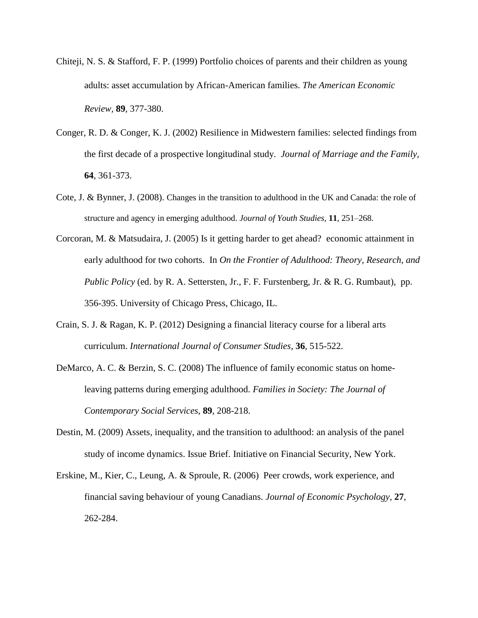- Chiteji, N. S. & Stafford, F. P. (1999) Portfolio choices of parents and their children as young adults: asset accumulation by African-American families. *The American Economic Review,* **89**, 377-380.
- Conger, R. D. & Conger, K. J. (2002) Resilience in Midwestern families: selected findings from the first decade of a prospective longitudinal study. *Journal of Marriage and the Family,*  **64**, 361-373.
- Cote, J. & Bynner, J. (2008). Changes in the transition to adulthood in the UK and Canada: the role of structure and agency in emerging adulthood. *Journal of Youth Studies,* **11**, 251–268.
- Corcoran, M. & Matsudaira, J. (2005) Is it getting harder to get ahead? economic attainment in early adulthood for two cohorts. In *On the Frontier of Adulthood: Theory, Research, and Public Policy* (ed. by R. A. Settersten, Jr., F. F. Furstenberg, Jr. & R. G. Rumbaut), pp. 356-395. University of Chicago Press, Chicago, IL.
- Crain, S. J. & Ragan, K. P. (2012) Designing a financial literacy course for a liberal arts curriculum. *International Journal of Consumer Studies,* **36**, 515-522.
- DeMarco, A. C. & Berzin, S. C. (2008) The influence of family economic status on homeleaving patterns during emerging adulthood. *Families in Society: The Journal of Contemporary Social Services,* **89**, 208-218.
- Destin, M. (2009) Assets, inequality, and the transition to adulthood: an analysis of the panel study of income dynamics. Issue Brief. Initiative on Financial Security, New York.
- Erskine, M., Kier, C., Leung, A. & Sproule, R. (2006) Peer crowds, work experience, and financial saving behaviour of young Canadians. *Journal of Economic Psychology,* **27***,* 262-284.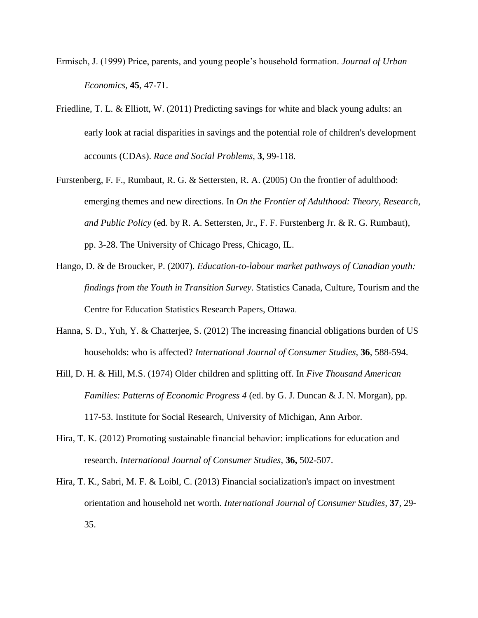- Ermisch, J. (1999) Price, parents, and young people's household formation. *Journal of Urban Economics,* **45***,* 47-71.
- Friedline, T. L. & Elliott, W. (2011) Predicting savings for white and black young adults: an early look at racial disparities in savings and the potential role of children's development accounts (CDAs). *Race and Social Problems,* **3**, 99-118.
- Furstenberg, F. F., Rumbaut, R. G. & Settersten, R. A. (2005) On the frontier of adulthood: emerging themes and new directions. In *On the Frontier of Adulthood: Theory, Research, and Public Policy* (ed. by R. A. Settersten, Jr., F. F. Furstenberg Jr. & R. G. Rumbaut)*,*  pp. 3-28. The University of Chicago Press, Chicago, IL.
- Hango, D. & de Broucker, P. (2007). *Education-to-labour market pathways of Canadian youth: findings from the Youth in Transition Survey*. Statistics Canada, Culture, Tourism and the Centre for Education Statistics Research Papers, Ottawa.
- Hanna, S. D., Yuh, Y. & Chatterjee, S. (2012) The increasing financial obligations burden of US households: who is affected? *International Journal of Consumer Studies,* **36**, 588-594.
- Hill, D. H. & Hill, M.S. (1974) Older children and splitting off. In *Five Thousand American Families: Patterns of Economic Progress 4* (ed. by G. J. Duncan & J. N. Morgan), pp. 117-53. Institute for Social Research, University of Michigan, Ann Arbor.
- Hira, T. K. (2012) Promoting sustainable financial behavior: implications for education and research. *International Journal of Consumer Studies,* **36,** 502-507.
- Hira, T. K., Sabri, M. F. & Loibl, C. (2013) Financial socialization's impact on investment orientation and household net worth. *International Journal of Consumer Studies,* **37**, 29- 35.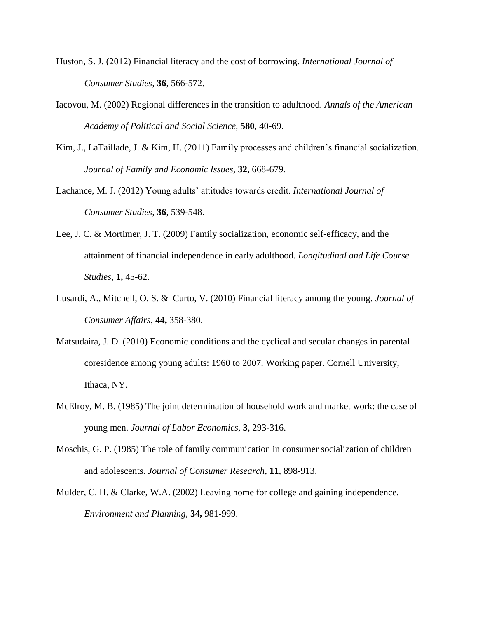- Huston, S. J. (2012) Financial literacy and the cost of borrowing. *International Journal of Consumer Studies,* **36**, 566-572.
- Iacovou, M. (2002) Regional differences in the transition to adulthood. *Annals of the American Academy of Political and Social Science,* **580***,* 40-69.
- Kim, J., LaTaillade, J. & Kim, H. (2011) Family processes and children's financial socialization. *Journal of Family and Economic Issues,* **32**, 668-679*.*
- Lachance, M. J. (2012) Young adults' attitudes towards credit. *International Journal of Consumer Studies,* **36**, 539-548.
- Lee, J. C. & Mortimer, J. T. (2009) Family socialization, economic self-efficacy, and the attainment of financial independence in early adulthood. *Longitudinal and Life Course Studies,* **1,** 45-62.
- Lusardi, A., Mitchell, O. S. & Curto, V. (2010) Financial literacy among the young. *Journal of Consumer Affairs,* **44,** 358-380.
- Matsudaira, J. D. (2010) Economic conditions and the cyclical and secular changes in parental coresidence among young adults: 1960 to 2007. Working paper. Cornell University, Ithaca, NY.
- McElroy, M. B. (1985) The joint determination of household work and market work: the case of young men. *Journal of Labor Economics,* **3**, 293-316.
- Moschis, G. P. (1985) The role of family communication in consumer socialization of children and adolescents. *Journal of Consumer Research*, **11**, 898-913.
- Mulder, C. H. & Clarke, W.A. (2002) Leaving home for college and gaining independence. *Environment and Planning*, **34,** 981-999.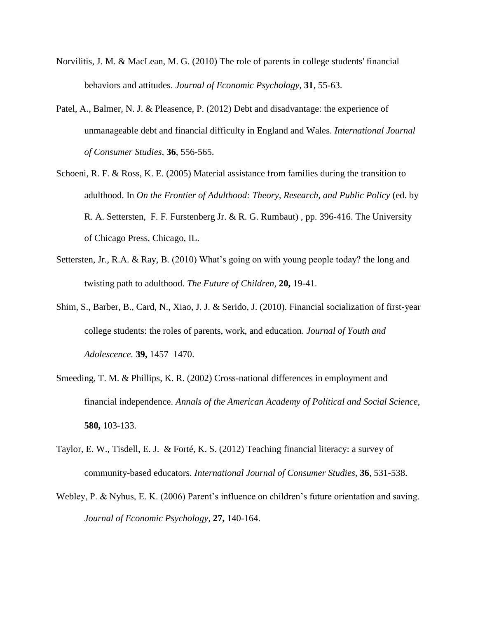- Norvilitis, J. M. & MacLean, M. G. (2010) The role of parents in college students' financial behaviors and attitudes. *Journal of Economic Psychology,* **31**, 55-63.
- Patel, A., Balmer, N. J. & Pleasence, P. (2012) Debt and disadvantage: the experience of unmanageable debt and financial difficulty in England and Wales. *International Journal of Consumer Studies,* **36**, 556-565.
- Schoeni, R. F. & Ross, K. E. (2005) Material assistance from families during the transition to adulthood. In *On the Frontier of Adulthood: Theory, Research, and Public Policy* (ed. by R. A. Settersten, F. F. Furstenberg Jr. & R. G. Rumbaut) *,* pp. 396-416. The University of Chicago Press, Chicago, IL.
- Settersten, Jr., R.A. & Ray, B. (2010) What's going on with young people today? the long and twisting path to adulthood. *The Future of Children,* **20,** 19-41.
- Shim, S., Barber, B., Card, N., Xiao, J. J. & Serido, J. (2010). Financial socialization of first-year college students: the roles of parents, work, and education. *Journal of Youth and Adolescence.* **39,** 1457–1470.
- Smeeding, T. M. & Phillips, K. R. (2002) Cross-national differences in employment and financial independence. *Annals of the American Academy of Political and Social Science,*  **580,** 103-133.
- Taylor, E. W., Tisdell, E. J. & Forté, K. S. (2012) Teaching financial literacy: a survey of community-based educators. *International Journal of Consumer Studies,* **36**, 531-538.
- Webley, P. & Nyhus, E. K. (2006) Parent's influence on children's future orientation and saving. *Journal of Economic Psychology,* **27,** 140-164.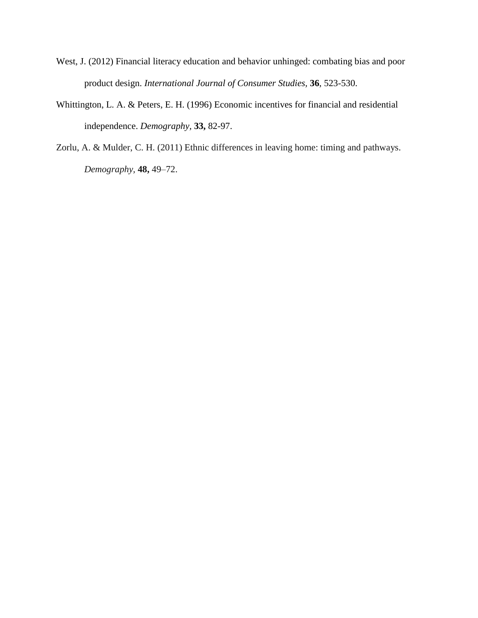- West, J. (2012) Financial literacy education and behavior unhinged: combating bias and poor product design. *International Journal of Consumer Studies,* **36**, 523-530.
- Whittington, L. A. & Peters, E. H. (1996) Economic incentives for financial and residential independence. *Demography,* **33,** 82-97.
- Zorlu, A. & Mulder, C. H. (2011) Ethnic differences in leaving home: timing and pathways. *Demography,* **48,** 49–72.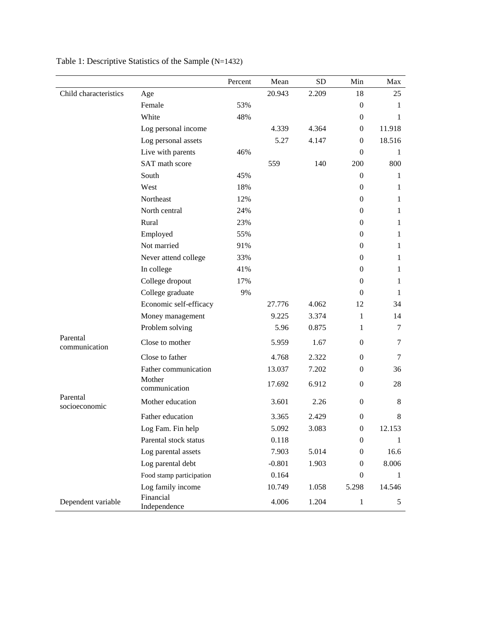|                           |                           | Percent | Mean     | <b>SD</b> | Min              | Max          |
|---------------------------|---------------------------|---------|----------|-----------|------------------|--------------|
| Child characteristics     | Age                       |         | 20.943   | 2.209     | 18               | 25           |
|                           | Female                    | 53%     |          |           | $\overline{0}$   | 1            |
|                           | White                     | 48%     |          |           | $\overline{0}$   | 1            |
|                           | Log personal income       |         | 4.339    | 4.364     | $\mathbf{0}$     | 11.918       |
|                           | Log personal assets       |         | 5.27     | 4.147     | $\mathbf{0}$     | 18.516       |
|                           | Live with parents         | 46%     |          |           | $\Omega$         | 1            |
|                           | SAT math score            |         | 559      | 140       | 200              | 800          |
|                           | South                     | 45%     |          |           | $\overline{0}$   | 1            |
|                           | West                      | 18%     |          |           | $\overline{0}$   | $\mathbf{1}$ |
|                           | Northeast                 | 12%     |          |           | $\mathbf{0}$     | $\mathbf{1}$ |
|                           | North central             | 24%     |          |           | $\theta$         | 1            |
|                           | Rural                     | 23%     |          |           | $\Omega$         | $\mathbf{1}$ |
|                           | Employed                  | 55%     |          |           | $\theta$         | $\mathbf{1}$ |
|                           | Not married               | 91%     |          |           | $\mathbf{0}$     | $\mathbf{1}$ |
|                           | Never attend college      | 33%     |          |           | $\theta$         | 1            |
|                           | In college                | 41%     |          |           | $\Omega$         | $\mathbf{1}$ |
|                           | College dropout           | 17%     |          |           | $\mathbf{0}$     | $\mathbf{1}$ |
|                           | College graduate          | 9%      |          |           | $\Omega$         | $\mathbf{1}$ |
|                           | Economic self-efficacy    |         | 27.776   | 4.062     | 12               | 34           |
|                           | Money management          |         | 9.225    | 3.374     | $\mathbf{1}$     | 14           |
|                           | Problem solving           |         | 5.96     | 0.875     | $\mathbf{1}$     | $\tau$       |
| Parental<br>communication | Close to mother           |         | 5.959    | 1.67      | $\overline{0}$   | 7            |
|                           | Close to father           |         | 4.768    | 2.322     | $\mathbf{0}$     | $\tau$       |
|                           | Father communication      |         | 13.037   | 7.202     | $\mathbf{0}$     | 36           |
|                           | Mother<br>communication   |         | 17.692   | 6.912     | $\mathbf{0}$     | 28           |
| Parental<br>socioeconomic | Mother education          |         | 3.601    | 2.26      | $\overline{0}$   | 8            |
|                           | Father education          |         | 3.365    | 2.429     | $\boldsymbol{0}$ | $\,8\,$      |
|                           | Log Fam. Fin help         |         | 5.092    | 3.083     | $\boldsymbol{0}$ | 12.153       |
|                           | Parental stock status     |         | 0.118    |           | $\mathbf{0}$     | 1            |
|                           | Log parental assets       |         | 7.903    | 5.014     | $\theta$         | 16.6         |
|                           | Log parental debt         |         | $-0.801$ | 1.903     | $\boldsymbol{0}$ | 8.006        |
|                           | Food stamp participation  |         | 0.164    |           | $\boldsymbol{0}$ | 1            |
|                           | Log family income         |         | 10.749   | 1.058     | 5.298            | 14.546       |
| Dependent variable        | Financial<br>Independence |         | 4.006    | 1.204     | $\mathbf{1}$     | 5            |

Table 1: Descriptive Statistics of the Sample (N=1432)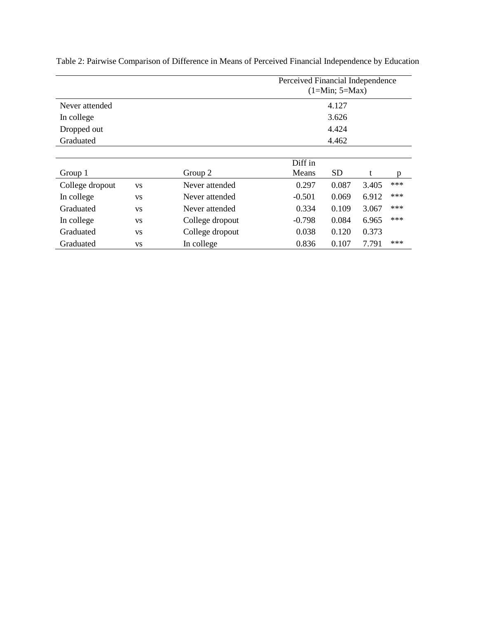|                 |           |                 |          | Perceived Financial Independence<br>$(1=Min; 5=Max)$ |       |       |  |  |  |  |  |
|-----------------|-----------|-----------------|----------|------------------------------------------------------|-------|-------|--|--|--|--|--|
| Never attended  |           |                 | 4.127    |                                                      |       |       |  |  |  |  |  |
| In college      |           |                 |          | 3.626                                                |       |       |  |  |  |  |  |
| Dropped out     |           |                 |          | 4.424                                                |       |       |  |  |  |  |  |
| Graduated       |           |                 | 4.462    |                                                      |       |       |  |  |  |  |  |
|                 |           |                 |          |                                                      |       |       |  |  |  |  |  |
|                 |           |                 | Diff in  |                                                      |       |       |  |  |  |  |  |
| Group 1         |           | Group 2         | Means    | <b>SD</b>                                            | t     | p     |  |  |  |  |  |
| College dropout | <b>VS</b> | Never attended  | 0.297    | 0.087                                                | 3.405 | ***   |  |  |  |  |  |
| In college      | <b>VS</b> | Never attended  | $-0.501$ | 0.069                                                | 6.912 | ***   |  |  |  |  |  |
| Graduated       | <b>VS</b> | Never attended  | 0.334    | 0.109                                                | 3.067 | ***   |  |  |  |  |  |
| In college      | <b>VS</b> | College dropout | $-0.798$ | 0.084                                                | 6.965 | $***$ |  |  |  |  |  |
| Graduated       | <b>VS</b> | College dropout | 0.038    | 0.120                                                | 0.373 |       |  |  |  |  |  |
| Graduated       | <b>VS</b> | In college      | 0.836    | 0.107                                                | 7.791 | ***   |  |  |  |  |  |

Table 2: Pairwise Comparison of Difference in Means of Perceived Financial Independence by Education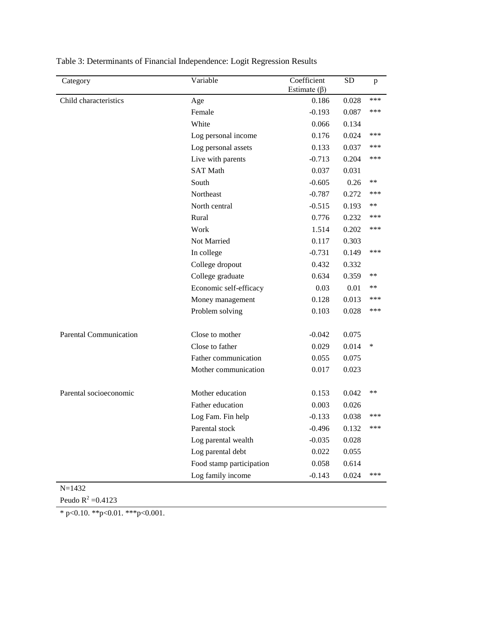| Category                      | Variable                 | Coefficient<br>Estimate $(\beta)$ | <b>SD</b> | p     |
|-------------------------------|--------------------------|-----------------------------------|-----------|-------|
| Child characteristics         | Age                      | 0.186                             | 0.028     | ***   |
|                               | Female                   | $-0.193$                          | 0.087     | ***   |
|                               | White                    | 0.066                             | 0.134     |       |
|                               | Log personal income      | 0.176                             | 0.024     | ***   |
|                               | Log personal assets      | 0.133                             | 0.037     | ***   |
|                               | Live with parents        | $-0.713$                          | 0.204     | ***   |
|                               | <b>SAT Math</b>          | 0.037                             | 0.031     |       |
|                               | South                    | $-0.605$                          | 0.26      | **    |
|                               | Northeast                | $-0.787$                          | 0.272     | ***   |
|                               | North central            | $-0.515$                          | 0.193     | **    |
|                               | Rural                    | 0.776                             | 0.232     | ***   |
|                               | Work                     | 1.514                             | 0.202     | ***   |
|                               | Not Married              | 0.117                             | 0.303     |       |
|                               | In college               | $-0.731$                          | 0.149     | ***   |
|                               | College dropout          | 0.432                             | 0.332     |       |
|                               | College graduate         | 0.634                             | 0.359     | **    |
|                               | Economic self-efficacy   | 0.03                              | 0.01      | **    |
|                               | Money management         | 0.128                             | 0.013     | ***   |
|                               | Problem solving          | 0.103                             | 0.028     | ***   |
| <b>Parental Communication</b> | Close to mother          | $-0.042$                          | 0.075     |       |
|                               | Close to father          | 0.029                             | 0.014     | ∗     |
|                               | Father communication     | 0.055                             | 0.075     |       |
|                               | Mother communication     | 0.017                             | 0.023     |       |
| Parental socioeconomic        | Mother education         | 0.153                             | 0.042     | $***$ |
|                               | Father education         | 0.003                             | 0.026     |       |
|                               | Log Fam. Fin help        | $-0.133$                          | 0.038     | ***   |
|                               | Parental stock           | $-0.496$                          | 0.132     | ***   |
|                               | Log parental wealth      | $-0.035$                          | 0.028     |       |
|                               | Log parental debt        | 0.022                             | 0.055     |       |
|                               | Food stamp participation | 0.058                             | 0.614     |       |
|                               | Log family income        | $-0.143$                          | 0.024     | ***   |

Table 3: Determinants of Financial Independence: Logit Regression Results

Peudo  $R^2 = 0.4123$ 

 $*$  p<0.10.  $*$  $*$ p<0.01.  $*$  $*$  $*$ p<0.001.